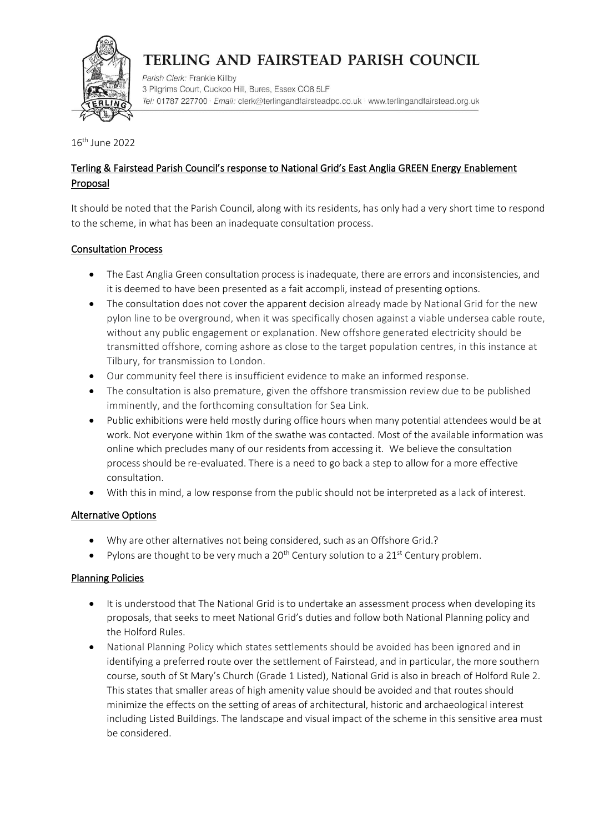

# TERLING AND FAIRSTEAD PARISH COUNCIL

Parish Clerk: Frankie Killby 3 Pilgrims Court, Cuckoo Hill, Bures, Essex CO8 5LF Tel: 01787 227700 · Email: clerk@terlingandfairsteadpc.co.uk · www.terlingandfairstead.org.uk

16th June 2022

## Terling & Fairstead Parish Council's response to National Grid's East Anglia GREEN Energy Enablement Proposal

It should be noted that the Parish Council, along with its residents, has only had a very short time to respond to the scheme, in what has been an inadequate consultation process.

### Consultation Process

- The East Anglia Green consultation process is inadequate, there are errors and inconsistencies, and it is deemed to have been presented as a fait accompli, instead of presenting options.
- The consultation does not cover the apparent decision already made by National Grid for the new pylon line to be overground, when it was specifically chosen against a viable undersea cable route, without any public engagement or explanation. New offshore generated electricity should be transmitted offshore, coming ashore as close to the target population centres, in this instance at Tilbury, for transmission to London.
- Our community feel there is insufficient evidence to make an informed response.
- The consultation is also premature, given the offshore transmission review due to be published imminently, and the forthcoming consultation for Sea Link.
- Public exhibitions were held mostly during office hours when many potential attendees would be at work. Not everyone within 1km of the swathe was contacted. Most of the available information was online which precludes many of our residents from accessing it. We believe the consultation process should be re-evaluated. There is a need to go back a step to allow for a more effective consultation.
- With this in mind, a low response from the public should not be interpreted as a lack of interest.

### Alternative Options

- Why are other alternatives not being considered, such as an Offshore Grid.?
- Pylons are thought to be very much a  $20^{th}$  Century solution to a  $21^{st}$  Century problem.

### Planning Policies

- It is understood that The National Grid is to undertake an assessment process when developing its proposals, that seeks to meet National Grid's duties and follow both National Planning policy and the Holford Rules.
- National Planning Policy which states settlements should be avoided has been ignored and in identifying a preferred route over the settlement of Fairstead, and in particular, the more southern course, south of St Mary's Church (Grade 1 Listed), National Grid is also in breach of Holford Rule 2. This states that smaller areas of high amenity value should be avoided and that routes should minimize the effects on the setting of areas of architectural, historic and archaeological interest including Listed Buildings. The landscape and visual impact of the scheme in this sensitive area must be considered.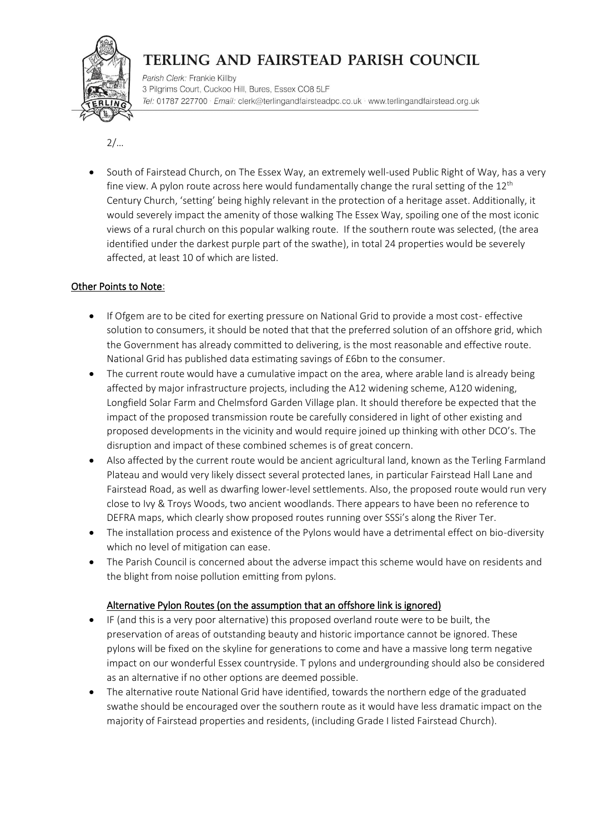

# TERLING AND FAIRSTEAD PARISH COUNCIL

Parish Clerk: Frankie Killby 3 Pilgrims Court, Cuckoo Hill, Bures, Essex CO8 5LF Tel: 01787 227700 · Email: clerk@terlingandfairsteadpc.co.uk · www.terlingandfairstead.org.uk

 $2/...$ 

• South of Fairstead Church, on The Essex Way, an extremely well-used Public Right of Way, has a very fine view. A pylon route across here would fundamentally change the rural setting of the  $12<sup>th</sup>$ Century Church, 'setting' being highly relevant in the protection of a heritage asset. Additionally, it would severely impact the amenity of those walking The Essex Way, spoiling one of the most iconic views of a rural church on this popular walking route. If the southern route was selected, (the area identified under the darkest purple part of the swathe), in total 24 properties would be severely affected, at least 10 of which are listed.

### Other Points to Note:

- If Ofgem are to be cited for exerting pressure on National Grid to provide a most cost- effective solution to consumers, it should be noted that that the preferred solution of an offshore grid, which the Government has already committed to delivering, is the most reasonable and effective route. National Grid has published data estimating savings of £6bn to the consumer.
- The current route would have a cumulative impact on the area, where arable land is already being affected by major infrastructure projects, including the A12 widening scheme, A120 widening, Longfield Solar Farm and Chelmsford Garden Village plan. It should therefore be expected that the impact of the proposed transmission route be carefully considered in light of other existing and proposed developments in the vicinity and would require joined up thinking with other DCO's. The disruption and impact of these combined schemes is of great concern.
- Also affected by the current route would be ancient agricultural land, known as the Terling Farmland Plateau and would very likely dissect several protected lanes, in particular Fairstead Hall Lane and Fairstead Road, as well as dwarfing lower-level settlements. Also, the proposed route would run very close to Ivy & Troys Woods, two ancient woodlands. There appears to have been no reference to DEFRA maps, which clearly show proposed routes running over SSSi's along the River Ter.
- The installation process and existence of the Pylons would have a detrimental effect on bio-diversity which no level of mitigation can ease.
- The Parish Council is concerned about the adverse impact this scheme would have on residents and the blight from noise pollution emitting from pylons.

### Alternative Pylon Routes (on the assumption that an offshore link is ignored)

- IF (and this is a very poor alternative) this proposed overland route were to be built, the preservation of areas of outstanding beauty and historic importance cannot be ignored. These pylons will be fixed on the skyline for generations to come and have a massive long term negative impact on our wonderful Essex countryside. T pylons and undergrounding should also be considered as an alternative if no other options are deemed possible.
- The alternative route National Grid have identified, towards the northern edge of the graduated swathe should be encouraged over the southern route as it would have less dramatic impact on the majority of Fairstead properties and residents, (including Grade I listed Fairstead Church).